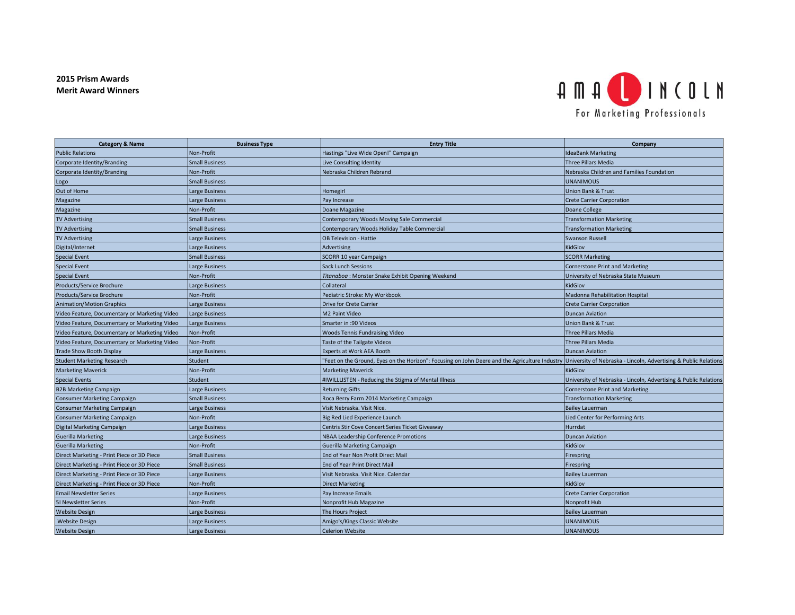## **2015 Prism Awards Merit Award Winners**



| <b>Category &amp; Name</b>                    | <b>Business Type</b>  | <b>Entry Title</b>                                                                                                                                              | Company                                                          |
|-----------------------------------------------|-----------------------|-----------------------------------------------------------------------------------------------------------------------------------------------------------------|------------------------------------------------------------------|
| <b>Public Relations</b>                       | Non-Profit            | Hastings "Live Wide Open!" Campaign                                                                                                                             | <b>IdeaBank Marketing</b>                                        |
| Corporate Identity/Branding                   | <b>Small Business</b> | Live Consulting Identity                                                                                                                                        | Three Pillars Media                                              |
| Corporate Identity/Branding                   | Non-Profit            | Nebraska Children Rebrand                                                                                                                                       | Nebraska Children and Families Foundation                        |
| Logo                                          | <b>Small Business</b> |                                                                                                                                                                 | <b>UNANIMOUS</b>                                                 |
| Out of Home                                   | Large Business        | Homegirl                                                                                                                                                        | Union Bank & Trust                                               |
| Magazine                                      | arge Business         | Pay Increase                                                                                                                                                    | <b>Crete Carrier Corporation</b>                                 |
| Magazine                                      | Non-Profit            | Doane Magazine                                                                                                                                                  | Doane College                                                    |
| <b>TV Advertising</b>                         | <b>Small Business</b> | Contemporary Woods Moving Sale Commercial                                                                                                                       | <b>Transformation Marketing</b>                                  |
| <b>TV Advertising</b>                         | <b>Small Business</b> | Contemporary Woods Holiday Table Commercial                                                                                                                     | <b>Transformation Marketing</b>                                  |
| <b>TV Advertising</b>                         | Large Business        | OB Television - Hattie                                                                                                                                          | Swanson Russell                                                  |
| Digital/Internet                              | Large Business        | Advertising                                                                                                                                                     | KidGlov                                                          |
| <b>Special Event</b>                          | <b>Small Business</b> | SCORR 10 year Campaign                                                                                                                                          | <b>SCORR Marketing</b>                                           |
| <b>Special Event</b>                          | Large Business        | <b>Sack Lunch Sessions</b>                                                                                                                                      | <b>Cornerstone Print and Marketing</b>                           |
| <b>Special Event</b>                          | Non-Profit            | Titanaboa : Monster Snake Exhibit Opening Weekend                                                                                                               | University of Nebraska State Museum                              |
| Products/Service Brochure                     | arge Business.        | Collateral                                                                                                                                                      | KidGlov                                                          |
| Products/Service Brochure                     | Non-Profit            | Pediatric Stroke: My Workbook                                                                                                                                   | Madonna Rehabilitation Hospital                                  |
| <b>Animation/Motion Graphics</b>              | Large Business        | <b>Drive for Crete Carrier</b>                                                                                                                                  | <b>Crete Carrier Corporation</b>                                 |
| Video Feature, Documentary or Marketing Video | Large Business        | M2 Paint Video                                                                                                                                                  | <b>Duncan Aviation</b>                                           |
| Video Feature, Documentary or Marketing Video | Large Business        | Smarter in :90 Videos                                                                                                                                           | Union Bank & Trust                                               |
| Video Feature, Documentary or Marketing Video | Non-Profit            | <b>Woods Tennis Fundraising Video</b>                                                                                                                           | Three Pillars Media                                              |
| Video Feature, Documentary or Marketing Video | Non-Profit            | Taste of the Tailgate Videos                                                                                                                                    | <b>Three Pillars Media</b>                                       |
| <b>Trade Show Booth Display</b>               | Large Business        | Experts at Work AEA Booth                                                                                                                                       | <b>Duncan Aviation</b>                                           |
| <b>Student Marketing Research</b>             | <b>Student</b>        | "Feet on the Ground, Eyes on the Horizon": Focusing on John Deere and the Agriculture Industry University of Nebraska - Lincoln, Advertising & Public Relations |                                                                  |
| <b>Marketing Maverick</b>                     | Non-Profit            | <b>Marketing Maverick</b>                                                                                                                                       | KidGlov                                                          |
| <b>Special Events</b>                         | Student               | #IWILLLISTEN - Reducing the Stigma of Mental Illness                                                                                                            | University of Nebraska - Lincoln, Advertising & Public Relations |
| <b>B2B Marketing Campaign</b>                 | Large Business        | <b>Returning Gifts</b>                                                                                                                                          | <b>Cornerstone Print and Marketing</b>                           |
| <b>Consumer Marketing Campaign</b>            | <b>Small Business</b> | Roca Berry Farm 2014 Marketing Campaign                                                                                                                         | <b>Transformation Marketing</b>                                  |
| <b>Consumer Marketing Campaign</b>            | Large Business        | Visit Nebraska. Visit Nice.                                                                                                                                     | <b>Bailey Lauerman</b>                                           |
| <b>Consumer Marketing Campaign</b>            | Non-Profit            | Big Red Lied Experience Launch                                                                                                                                  | Lied Center for Performing Arts                                  |
| Digital Marketing Campaign                    | Large Business        | Centris Stir Cove Concert Series Ticket Giveaway                                                                                                                | Hurrdat                                                          |
| <b>Guerilla Marketing</b>                     | Large Business        | NBAA Leadership Conference Promotions                                                                                                                           | <b>Duncan Aviation</b>                                           |
| <b>Guerilla Marketing</b>                     | Non-Profit            | Guerilla Marketing Campaign                                                                                                                                     | KidGlov                                                          |
| Direct Marketing - Print Piece or 3D Piece    | <b>Small Business</b> | End of Year Non Profit Direct Mail                                                                                                                              | Firespring                                                       |
| Direct Marketing - Print Piece or 3D Piece    | <b>Small Business</b> | End of Year Print Direct Mail                                                                                                                                   | Firespring                                                       |
| Direct Marketing - Print Piece or 3D Piece    | Large Business        | Visit Nebraska. Visit Nice. Calendar                                                                                                                            | <b>Bailey Lauerman</b>                                           |
| Direct Marketing - Print Piece or 3D Piece    | Non-Profit            | <b>Direct Marketing</b>                                                                                                                                         | KidGlov                                                          |
| <b>Email Newsletter Series</b>                | Large Business        | Pay Increase Emails                                                                                                                                             | <b>Crete Carrier Corporation</b>                                 |
| 51 Newsletter Series                          | Non-Profit            | Nonprofit Hub Magazine                                                                                                                                          | Nonprofit Hub                                                    |
| <b>Website Design</b>                         | Large Business        | The Hours Project                                                                                                                                               | <b>Bailey Lauerman</b>                                           |
| <b>Website Design</b>                         | Large Business        | Amigo's/Kings Classic Website                                                                                                                                   | <b>UNANIMOUS</b>                                                 |
| <b>Website Design</b>                         | Large Business        | <b>Celerion Website</b>                                                                                                                                         | <b>UNANIMOUS</b>                                                 |